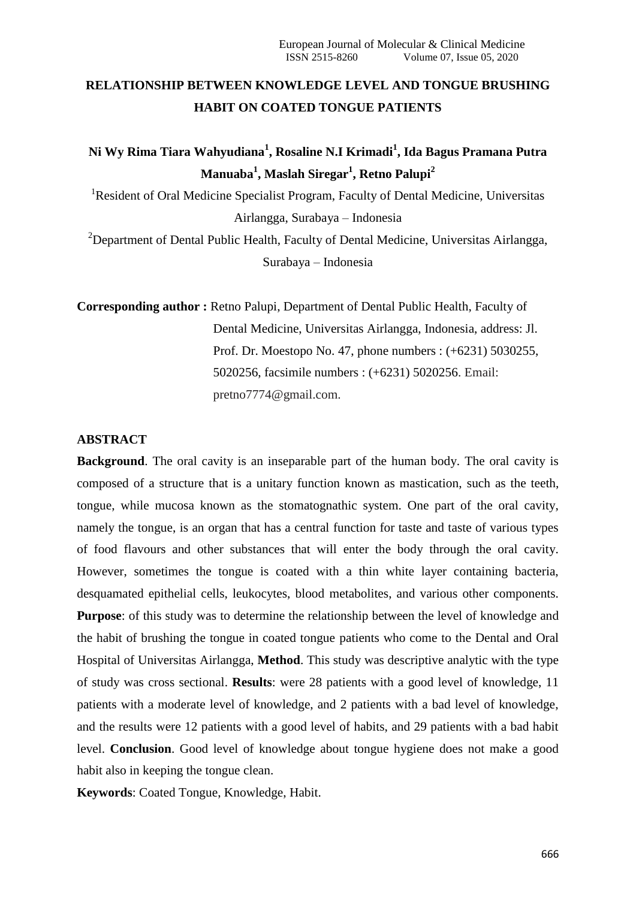# **RELATIONSHIP BETWEEN KNOWLEDGE LEVEL AND TONGUE BRUSHING HABIT ON COATED TONGUE PATIENTS**

# **Ni Wy Rima Tiara Wahyudiana<sup>1</sup> , Rosaline N.I Krimadi<sup>1</sup> , Ida Bagus Pramana Putra Manuaba<sup>1</sup> , Maslah Siregar<sup>1</sup> , Retno Palupi<sup>2</sup>**

<sup>1</sup>Resident of Oral Medicine Specialist Program, Faculty of Dental Medicine, Universitas Airlangga, Surabaya – Indonesia

<sup>2</sup>Department of Dental Public Health, Faculty of Dental Medicine, Universitas Airlangga, Surabaya – Indonesia

**Corresponding author :** Retno Palupi, Department of Dental Public Health, Faculty of Dental Medicine, Universitas Airlangga, Indonesia, address: Jl. Prof. Dr. Moestopo No. 47, phone numbers : (+6231) 5030255, 5020256, facsimile numbers : (+6231) 5020256. Email: pretno7774@gmail.com.

# **ABSTRACT**

**Background**. The oral cavity is an inseparable part of the human body. The oral cavity is composed of a structure that is a unitary function known as mastication, such as the teeth, tongue, while mucosa known as the stomatognathic system. One part of the oral cavity, namely the tongue, is an organ that has a central function for taste and taste of various types of food flavours and other substances that will enter the body through the oral cavity. However, sometimes the tongue is coated with a thin white layer containing bacteria, desquamated epithelial cells, leukocytes, blood metabolites, and various other components. **Purpose**: of this study was to determine the relationship between the level of knowledge and the habit of brushing the tongue in coated tongue patients who come to the Dental and Oral Hospital of Universitas Airlangga, **Method**. This study was descriptive analytic with the type of study was cross sectional. **Results**: were 28 patients with a good level of knowledge, 11 patients with a moderate level of knowledge, and 2 patients with a bad level of knowledge, and the results were 12 patients with a good level of habits, and 29 patients with a bad habit level. **Conclusion**. Good level of knowledge about tongue hygiene does not make a good habit also in keeping the tongue clean.

**Keywords**: Coated Tongue, Knowledge, Habit.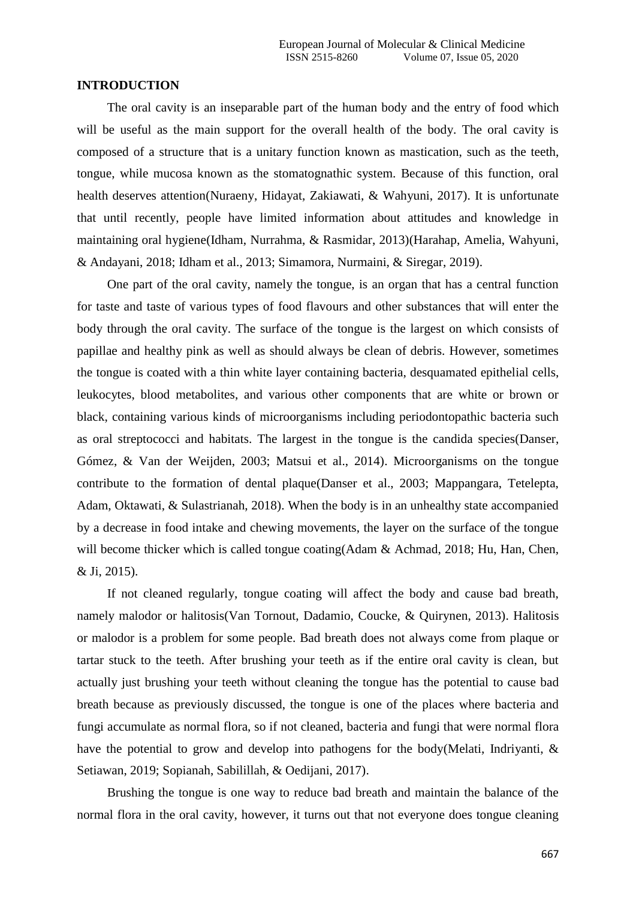### **INTRODUCTION**

The oral cavity is an inseparable part of the human body and the entry of food which will be useful as the main support for the overall health of the body. The oral cavity is composed of a structure that is a unitary function known as mastication, such as the teeth, tongue, while mucosa known as the stomatognathic system. Because of this function, oral health deserves attention(Nuraeny, Hidayat, Zakiawati, & Wahyuni, 2017). It is unfortunate that until recently, people have limited information about attitudes and knowledge in maintaining oral hygiene(Idham, Nurrahma, & Rasmidar, 2013)(Harahap, Amelia, Wahyuni, & Andayani, 2018; Idham et al., 2013; Simamora, Nurmaini, & Siregar, 2019).

One part of the oral cavity, namely the tongue, is an organ that has a central function for taste and taste of various types of food flavours and other substances that will enter the body through the oral cavity. The surface of the tongue is the largest on which consists of papillae and healthy pink as well as should always be clean of debris. However, sometimes the tongue is coated with a thin white layer containing bacteria, desquamated epithelial cells, leukocytes, blood metabolites, and various other components that are white or brown or black, containing various kinds of microorganisms including periodontopathic bacteria such as oral streptococci and habitats. The largest in the tongue is the candida species(Danser, Gómez, & Van der Weijden, 2003; Matsui et al., 2014). Microorganisms on the tongue contribute to the formation of dental plaque(Danser et al., 2003; Mappangara, Tetelepta, Adam, Oktawati, & Sulastrianah, 2018). When the body is in an unhealthy state accompanied by a decrease in food intake and chewing movements, the layer on the surface of the tongue will become thicker which is called tongue coating(Adam & Achmad, 2018; Hu, Han, Chen, & Ji, 2015).

If not cleaned regularly, tongue coating will affect the body and cause bad breath, namely malodor or halitosis(Van Tornout, Dadamio, Coucke, & Quirynen, 2013). Halitosis or malodor is a problem for some people. Bad breath does not always come from plaque or tartar stuck to the teeth. After brushing your teeth as if the entire oral cavity is clean, but actually just brushing your teeth without cleaning the tongue has the potential to cause bad breath because as previously discussed, the tongue is one of the places where bacteria and fungi accumulate as normal flora, so if not cleaned, bacteria and fungi that were normal flora have the potential to grow and develop into pathogens for the body(Melati, Indriyanti, & Setiawan, 2019; Sopianah, Sabilillah, & Oedijani, 2017).

Brushing the tongue is one way to reduce bad breath and maintain the balance of the normal flora in the oral cavity, however, it turns out that not everyone does tongue cleaning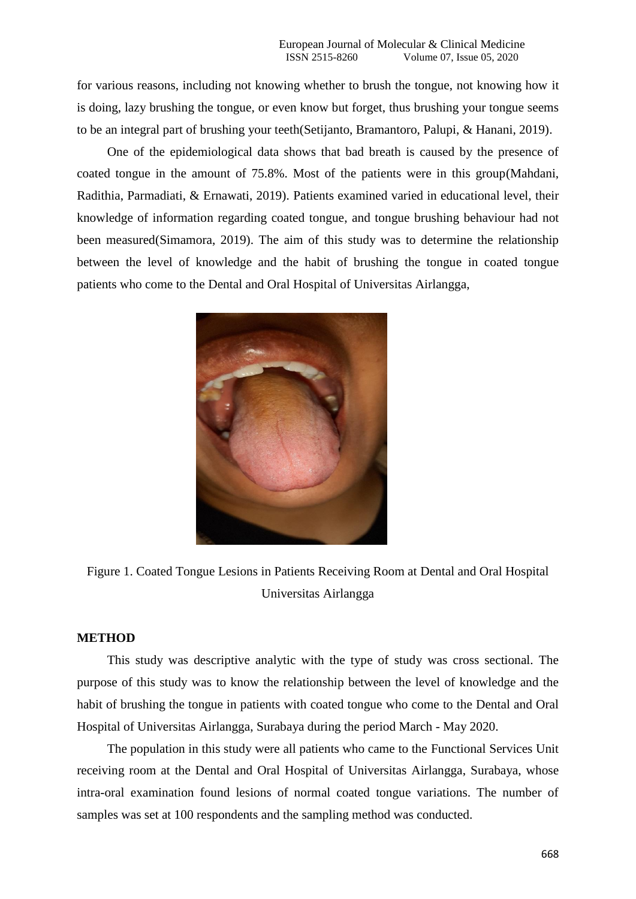for various reasons, including not knowing whether to brush the tongue, not knowing how it is doing, lazy brushing the tongue, or even know but forget, thus brushing your tongue seems to be an integral part of brushing your teeth(Setijanto, Bramantoro, Palupi, & Hanani, 2019).

One of the epidemiological data shows that bad breath is caused by the presence of coated tongue in the amount of 75.8%. Most of the patients were in this group(Mahdani, Radithia, Parmadiati, & Ernawati, 2019). Patients examined varied in educational level, their knowledge of information regarding coated tongue, and tongue brushing behaviour had not been measured(Simamora, 2019). The aim of this study was to determine the relationship between the level of knowledge and the habit of brushing the tongue in coated tongue patients who come to the Dental and Oral Hospital of Universitas Airlangga,



Figure 1. Coated Tongue Lesions in Patients Receiving Room at Dental and Oral Hospital Universitas Airlangga

## **METHOD**

This study was descriptive analytic with the type of study was cross sectional. The purpose of this study was to know the relationship between the level of knowledge and the habit of brushing the tongue in patients with coated tongue who come to the Dental and Oral Hospital of Universitas Airlangga, Surabaya during the period March - May 2020.

The population in this study were all patients who came to the Functional Services Unit receiving room at the Dental and Oral Hospital of Universitas Airlangga, Surabaya, whose intra-oral examination found lesions of normal coated tongue variations. The number of samples was set at 100 respondents and the sampling method was conducted.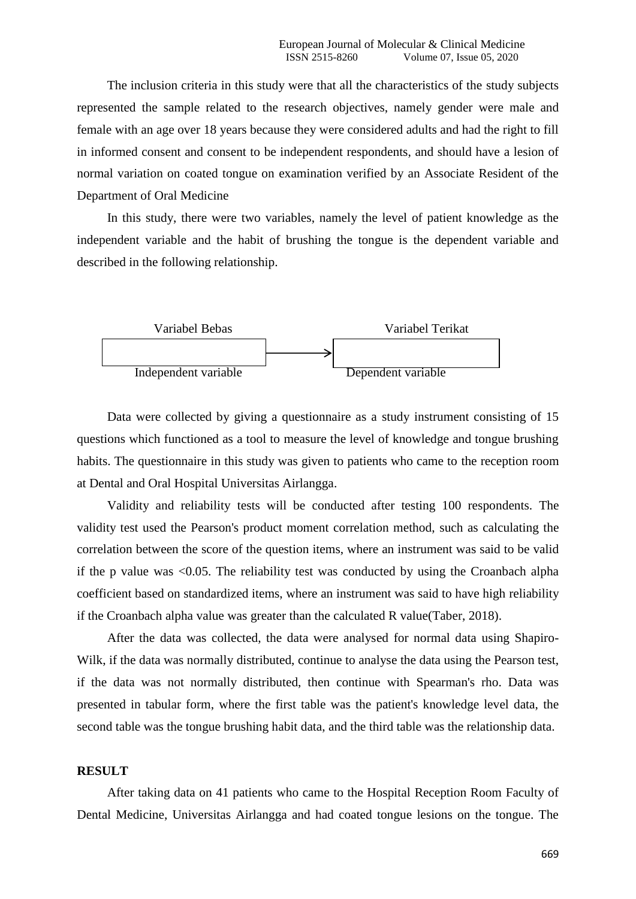The inclusion criteria in this study were that all the characteristics of the study subjects represented the sample related to the research objectives, namely gender were male and female with an age over 18 years because they were considered adults and had the right to fill in informed consent and consent to be independent respondents, and should have a lesion of normal variation on coated tongue on examination verified by an Associate Resident of the Department of Oral Medicine

In this study, there were two variables, namely the level of patient knowledge as the independent variable and the habit of brushing the tongue is the dependent variable and described in the following relationship.



Data were collected by giving a questionnaire as a study instrument consisting of 15 questions which functioned as a tool to measure the level of knowledge and tongue brushing habits. The questionnaire in this study was given to patients who came to the reception room at Dental and Oral Hospital Universitas Airlangga.

Validity and reliability tests will be conducted after testing 100 respondents. The validity test used the Pearson's product moment correlation method, such as calculating the correlation between the score of the question items, where an instrument was said to be valid if the p value was <0.05. The reliability test was conducted by using the Croanbach alpha coefficient based on standardized items, where an instrument was said to have high reliability if the Croanbach alpha value was greater than the calculated R value(Taber, 2018).

After the data was collected, the data were analysed for normal data using Shapiro-Wilk, if the data was normally distributed, continue to analyse the data using the Pearson test, if the data was not normally distributed, then continue with Spearman's rho. Data was presented in tabular form, where the first table was the patient's knowledge level data, the second table was the tongue brushing habit data, and the third table was the relationship data.

### **RESULT**

After taking data on 41 patients who came to the Hospital Reception Room Faculty of Dental Medicine, Universitas Airlangga and had coated tongue lesions on the tongue. The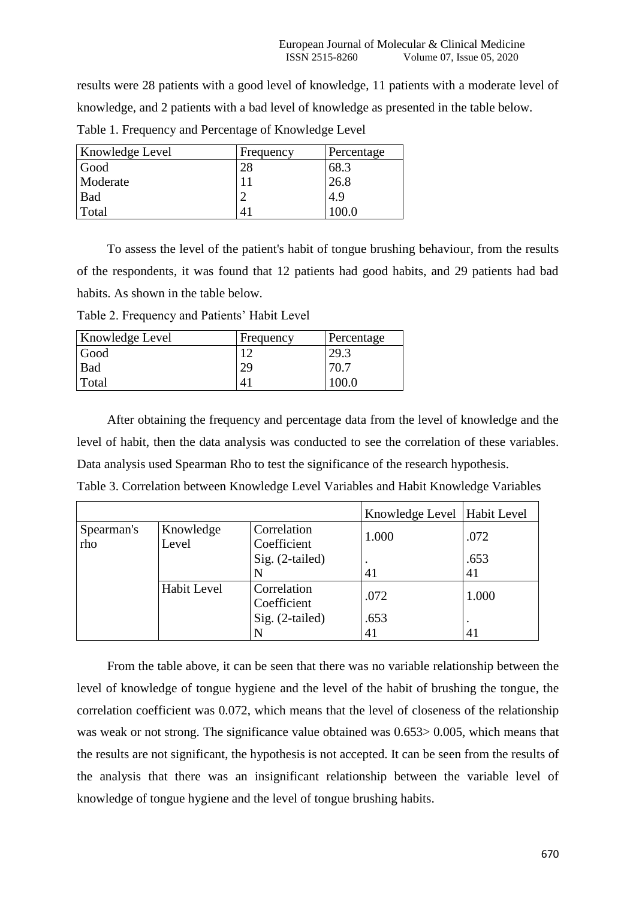results were 28 patients with a good level of knowledge, 11 patients with a moderate level of knowledge, and 2 patients with a bad level of knowledge as presented in the table below. Table 1. Frequency and Percentage of Knowledge Level

| Knowledge Level | Frequency | Percentage |
|-----------------|-----------|------------|
| Good            | 28        | 68.3       |
| Moderate        |           | 26.8       |
| <b>Bad</b>      | ◠         | 4.9        |
| Total           | 41        | 100.0.     |

To assess the level of the patient's habit of tongue brushing behaviour, from the results of the respondents, it was found that 12 patients had good habits, and 29 patients had bad habits. As shown in the table below.

Table 2. Frequency and Patients' Habit Level

| Knowledge Level | Frequency | Percentage |
|-----------------|-----------|------------|
| Good            |           | 29.3       |
| Bad             | 29        | 70.7       |
| Total           | Δ         | ם חחו      |

After obtaining the frequency and percentage data from the level of knowledge and the level of habit, then the data analysis was conducted to see the correlation of these variables. Data analysis used Spearman Rho to test the significance of the research hypothesis. Table 3. Correlation between Knowledge Level Variables and Habit Knowledge Variables

|                   |                    |                            | Knowledge Level   Habit Level |            |
|-------------------|--------------------|----------------------------|-------------------------------|------------|
| Spearman's<br>rho | Knowledge<br>Level | Correlation<br>Coefficient | 1.000                         | .072       |
|                   |                    | $Sig. (2-tailed)$          | $\bullet$<br>41               | .653<br>41 |
|                   | Habit Level        | Correlation<br>Coefficient | .072                          | 1.000      |
|                   |                    | Sig. (2-tailed)            | .653                          |            |
|                   |                    |                            | 41                            | 41         |

From the table above, it can be seen that there was no variable relationship between the level of knowledge of tongue hygiene and the level of the habit of brushing the tongue, the correlation coefficient was 0.072, which means that the level of closeness of the relationship was weak or not strong. The significance value obtained was 0.653> 0.005, which means that the results are not significant, the hypothesis is not accepted. It can be seen from the results of the analysis that there was an insignificant relationship between the variable level of knowledge of tongue hygiene and the level of tongue brushing habits.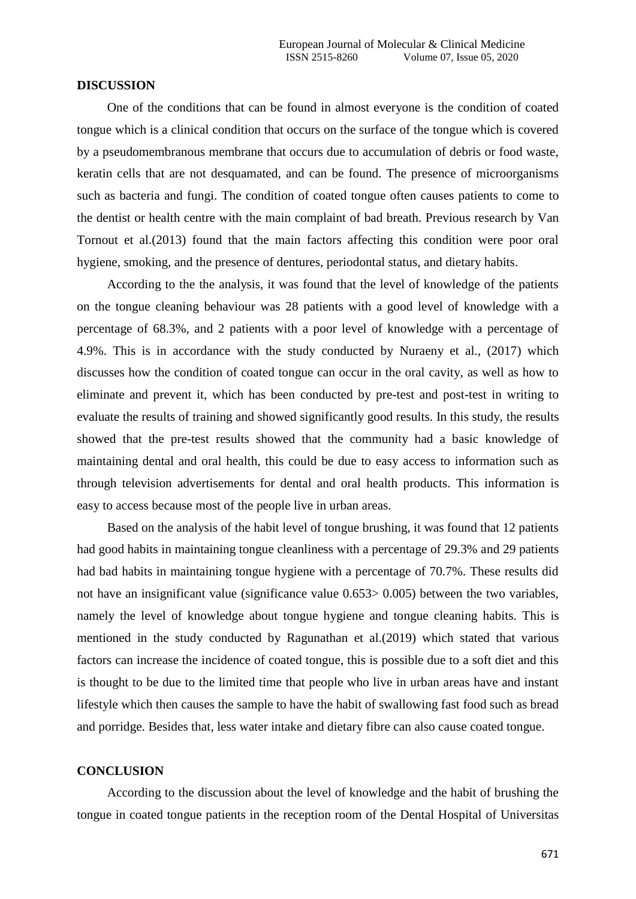#### **DISCUSSION**

One of the conditions that can be found in almost everyone is the condition of coated tongue which is a clinical condition that occurs on the surface of the tongue which is covered by a pseudomembranous membrane that occurs due to accumulation of debris or food waste, keratin cells that are not desquamated, and can be found. The presence of microorganisms such as bacteria and fungi. The condition of coated tongue often causes patients to come to the dentist or health centre with the main complaint of bad breath. Previous research by Van Tornout et al.(2013) found that the main factors affecting this condition were poor oral hygiene, smoking, and the presence of dentures, periodontal status, and dietary habits.

According to the the analysis, it was found that the level of knowledge of the patients on the tongue cleaning behaviour was 28 patients with a good level of knowledge with a percentage of 68.3%, and 2 patients with a poor level of knowledge with a percentage of 4.9%. This is in accordance with the study conducted by Nuraeny et al., (2017) which discusses how the condition of coated tongue can occur in the oral cavity, as well as how to eliminate and prevent it, which has been conducted by pre-test and post-test in writing to evaluate the results of training and showed significantly good results. In this study, the results showed that the pre-test results showed that the community had a basic knowledge of maintaining dental and oral health, this could be due to easy access to information such as through television advertisements for dental and oral health products. This information is easy to access because most of the people live in urban areas.

Based on the analysis of the habit level of tongue brushing, it was found that 12 patients had good habits in maintaining tongue cleanliness with a percentage of 29.3% and 29 patients had bad habits in maintaining tongue hygiene with a percentage of 70.7%. These results did not have an insignificant value (significance value 0.653> 0.005) between the two variables, namely the level of knowledge about tongue hygiene and tongue cleaning habits. This is mentioned in the study conducted by Ragunathan et al.(2019) which stated that various factors can increase the incidence of coated tongue, this is possible due to a soft diet and this is thought to be due to the limited time that people who live in urban areas have and instant lifestyle which then causes the sample to have the habit of swallowing fast food such as bread and porridge. Besides that, less water intake and dietary fibre can also cause coated tongue.

### **CONCLUSION**

According to the discussion about the level of knowledge and the habit of brushing the tongue in coated tongue patients in the reception room of the Dental Hospital of Universitas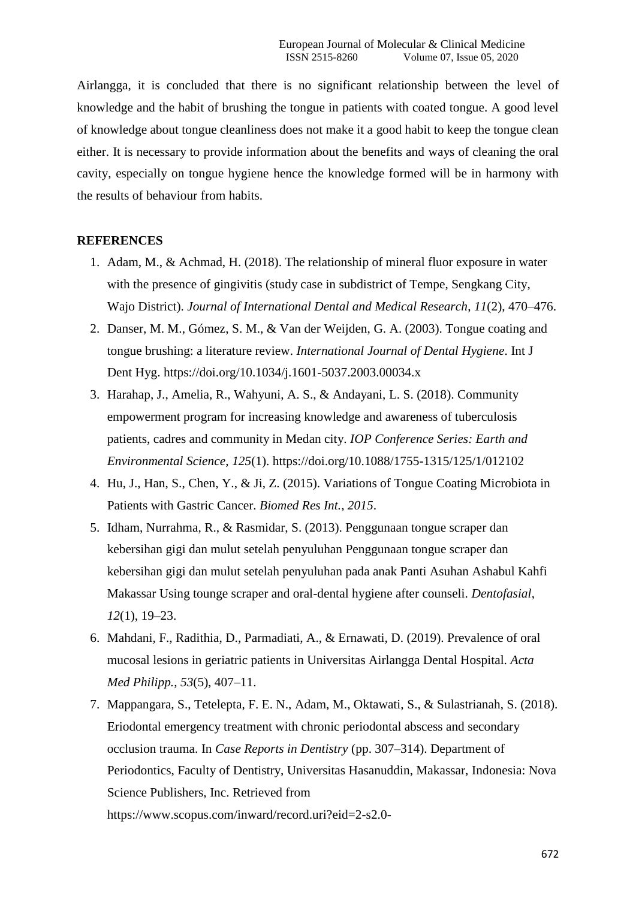Airlangga, it is concluded that there is no significant relationship between the level of knowledge and the habit of brushing the tongue in patients with coated tongue. A good level of knowledge about tongue cleanliness does not make it a good habit to keep the tongue clean either. It is necessary to provide information about the benefits and ways of cleaning the oral cavity, especially on tongue hygiene hence the knowledge formed will be in harmony with the results of behaviour from habits.

### **REFERENCES**

- 1. Adam, M., & Achmad, H. (2018). The relationship of mineral fluor exposure in water with the presence of gingivitis (study case in subdistrict of Tempe, Sengkang City, Wajo District). *Journal of International Dental and Medical Research*, *11*(2), 470–476.
- 2. Danser, M. M., Gómez, S. M., & Van der Weijden, G. A. (2003). Tongue coating and tongue brushing: a literature review. *International Journal of Dental Hygiene*. Int J Dent Hyg. https://doi.org/10.1034/j.1601-5037.2003.00034.x
- 3. Harahap, J., Amelia, R., Wahyuni, A. S., & Andayani, L. S. (2018). Community empowerment program for increasing knowledge and awareness of tuberculosis patients, cadres and community in Medan city. *IOP Conference Series: Earth and Environmental Science*, *125*(1). https://doi.org/10.1088/1755-1315/125/1/012102
- 4. Hu, J., Han, S., Chen, Y., & Ji, Z. (2015). Variations of Tongue Coating Microbiota in Patients with Gastric Cancer. *Biomed Res Int.*, *2015*.
- 5. Idham, Nurrahma, R., & Rasmidar, S. (2013). Penggunaan tongue scraper dan kebersihan gigi dan mulut setelah penyuluhan Penggunaan tongue scraper dan kebersihan gigi dan mulut setelah penyuluhan pada anak Panti Asuhan Ashabul Kahfi Makassar Using tounge scraper and oral-dental hygiene after counseli. *Dentofasial*, *12*(1), 19–23.
- 6. Mahdani, F., Radithia, D., Parmadiati, A., & Ernawati, D. (2019). Prevalence of oral mucosal lesions in geriatric patients in Universitas Airlangga Dental Hospital. *Acta Med Philipp.*, *53*(5), 407–11.
- 7. Mappangara, S., Tetelepta, F. E. N., Adam, M., Oktawati, S., & Sulastrianah, S. (2018). Eriodontal emergency treatment with chronic periodontal abscess and secondary occlusion trauma. In *Case Reports in Dentistry* (pp. 307–314). Department of Periodontics, Faculty of Dentistry, Universitas Hasanuddin, Makassar, Indonesia: Nova Science Publishers, Inc. Retrieved from https://www.scopus.com/inward/record.uri?eid=2-s2.0-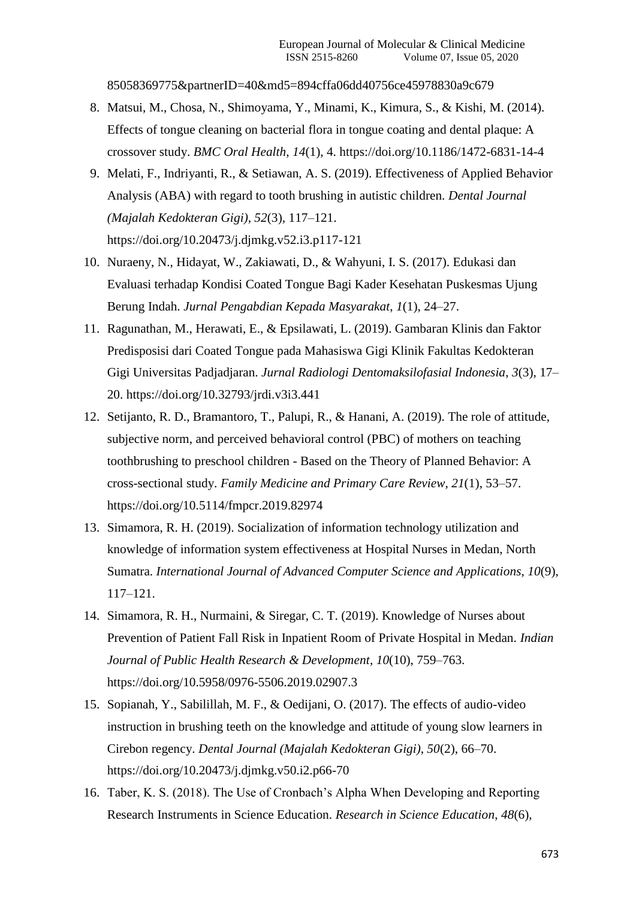85058369775&partnerID=40&md5=894cffa06dd40756ce45978830a9c679

- 8. Matsui, M., Chosa, N., Shimoyama, Y., Minami, K., Kimura, S., & Kishi, M. (2014). Effects of tongue cleaning on bacterial flora in tongue coating and dental plaque: A crossover study. *BMC Oral Health*, *14*(1), 4. https://doi.org/10.1186/1472-6831-14-4
- 9. Melati, F., Indriyanti, R., & Setiawan, A. S. (2019). Effectiveness of Applied Behavior Analysis (ABA) with regard to tooth brushing in autistic children. *Dental Journal (Majalah Kedokteran Gigi)*, *52*(3), 117–121. https://doi.org/10.20473/j.djmkg.v52.i3.p117-121
- 10. Nuraeny, N., Hidayat, W., Zakiawati, D., & Wahyuni, I. S. (2017). Edukasi dan Evaluasi terhadap Kondisi Coated Tongue Bagi Kader Kesehatan Puskesmas Ujung Berung Indah. *Jurnal Pengabdian Kepada Masyarakat*, *1*(1), 24–27.
- 11. Ragunathan, M., Herawati, E., & Epsilawati, L. (2019). Gambaran Klinis dan Faktor Predisposisi dari Coated Tongue pada Mahasiswa Gigi Klinik Fakultas Kedokteran Gigi Universitas Padjadjaran. *Jurnal Radiologi Dentomaksilofasial Indonesia*, *3*(3), 17– 20. https://doi.org/10.32793/jrdi.v3i3.441
- 12. Setijanto, R. D., Bramantoro, T., Palupi, R., & Hanani, A. (2019). The role of attitude, subjective norm, and perceived behavioral control (PBC) of mothers on teaching toothbrushing to preschool children - Based on the Theory of Planned Behavior: A cross-sectional study. *Family Medicine and Primary Care Review*, *21*(1), 53–57. https://doi.org/10.5114/fmpcr.2019.82974
- 13. Simamora, R. H. (2019). Socialization of information technology utilization and knowledge of information system effectiveness at Hospital Nurses in Medan, North Sumatra. *International Journal of Advanced Computer Science and Applications*, *10*(9), 117–121.
- 14. Simamora, R. H., Nurmaini, & Siregar, C. T. (2019). Knowledge of Nurses about Prevention of Patient Fall Risk in Inpatient Room of Private Hospital in Medan. *Indian Journal of Public Health Research & Development*, *10*(10), 759–763. https://doi.org/10.5958/0976-5506.2019.02907.3
- 15. Sopianah, Y., Sabilillah, M. F., & Oedijani, O. (2017). The effects of audio-video instruction in brushing teeth on the knowledge and attitude of young slow learners in Cirebon regency. *Dental Journal (Majalah Kedokteran Gigi)*, *50*(2), 66–70. https://doi.org/10.20473/j.djmkg.v50.i2.p66-70
- 16. Taber, K. S. (2018). The Use of Cronbach's Alpha When Developing and Reporting Research Instruments in Science Education. *Research in Science Education*, *48*(6),